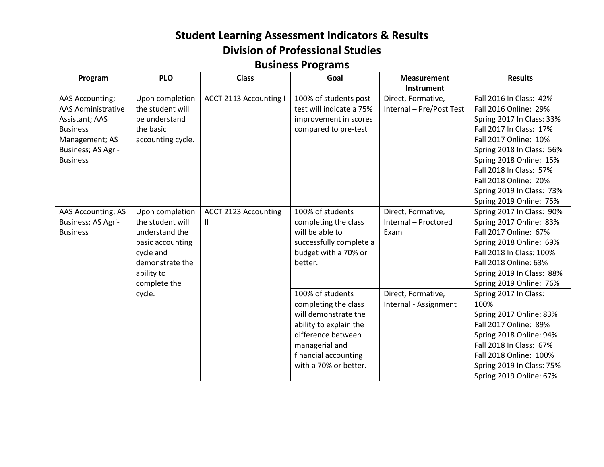| Program                                                                                                                                             | <b>PLO</b>                                                                                                                              | <b>Class</b>                      | Goal                                                                                                                                                                                | <b>Measurement</b>                                 | <b>Results</b>                                                                                                                                                                                                            |
|-----------------------------------------------------------------------------------------------------------------------------------------------------|-----------------------------------------------------------------------------------------------------------------------------------------|-----------------------------------|-------------------------------------------------------------------------------------------------------------------------------------------------------------------------------------|----------------------------------------------------|---------------------------------------------------------------------------------------------------------------------------------------------------------------------------------------------------------------------------|
|                                                                                                                                                     |                                                                                                                                         |                                   |                                                                                                                                                                                     | Instrument                                         |                                                                                                                                                                                                                           |
| <b>AAS Accounting;</b><br><b>AAS Administrative</b><br>Assistant; AAS<br><b>Business</b><br>Management; AS<br>Business; AS Agri-<br><b>Business</b> | Upon completion<br>the student will<br>be understand<br>the basic<br>accounting cycle.                                                  | <b>ACCT 2113 Accounting I</b>     | 100% of students post-<br>test will indicate a 75%<br>improvement in scores<br>compared to pre-test                                                                                 | Direct, Formative,<br>Internal - Pre/Post Test     | Fall 2016 In Class: 42%<br>Fall 2016 Online: 29%<br>Spring 2017 In Class: 33%<br>Fall 2017 In Class: 17%<br>Fall 2017 Online: 10%<br>Spring 2018 In Class: 56%<br>Spring 2018 Online: 15%                                 |
|                                                                                                                                                     |                                                                                                                                         |                                   |                                                                                                                                                                                     |                                                    | Fall 2018 In Class: 57%<br>Fall 2018 Online: 20%<br>Spring 2019 In Class: 73%<br>Spring 2019 Online: 75%                                                                                                                  |
| AAS Accounting; AS<br>Business; AS Agri-<br><b>Business</b>                                                                                         | Upon completion<br>the student will<br>understand the<br>basic accounting<br>cycle and<br>demonstrate the<br>ability to<br>complete the | <b>ACCT 2123 Accounting</b><br>H. | 100% of students<br>completing the class<br>will be able to<br>successfully complete a<br>budget with a 70% or<br>better.                                                           | Direct, Formative,<br>Internal - Proctored<br>Exam | Spring 2017 In Class: 90%<br>Spring 2017 Online: 83%<br>Fall 2017 Online: 67%<br>Spring 2018 Online: 69%<br>Fall 2018 In Class: 100%<br>Fall 2018 Online: 63%<br>Spring 2019 In Class: 88%<br>Spring 2019 Online: 76%     |
|                                                                                                                                                     | cycle.                                                                                                                                  |                                   | 100% of students<br>completing the class<br>will demonstrate the<br>ability to explain the<br>difference between<br>managerial and<br>financial accounting<br>with a 70% or better. | Direct, Formative,<br>Internal - Assignment        | Spring 2017 In Class:<br>100%<br>Spring 2017 Online: 83%<br>Fall 2017 Online: 89%<br>Spring 2018 Online: 94%<br>Fall 2018 In Class: 67%<br>Fall 2018 Online: 100%<br>Spring 2019 In Class: 75%<br>Spring 2019 Online: 67% |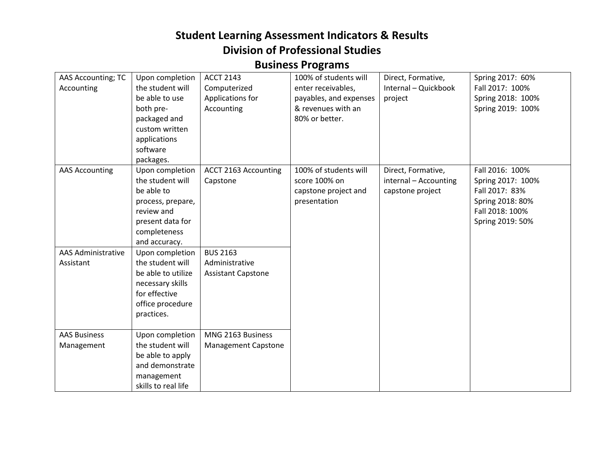| AAS Accounting; TC<br>Accounting  | Upon completion<br>the student will<br>be able to use<br>both pre-<br>packaged and<br>custom written<br>applications<br>software<br>packages. | <b>ACCT 2143</b><br>Computerized<br>Applications for<br>Accounting | 100% of students will<br>enter receivables,<br>payables, and expenses<br>& revenues with an<br>80% or better. | Direct, Formative,<br>Internal - Quickbook<br>project           | Spring 2017: 60%<br>Fall 2017: 100%<br>Spring 2018: 100%<br>Spring 2019: 100%                                     |
|-----------------------------------|-----------------------------------------------------------------------------------------------------------------------------------------------|--------------------------------------------------------------------|---------------------------------------------------------------------------------------------------------------|-----------------------------------------------------------------|-------------------------------------------------------------------------------------------------------------------|
| <b>AAS Accounting</b>             | Upon completion<br>the student will<br>be able to<br>process, prepare,<br>review and<br>present data for<br>completeness<br>and accuracy.     | ACCT 2163 Accounting<br>Capstone                                   | 100% of students will<br>score 100% on<br>capstone project and<br>presentation                                | Direct, Formative,<br>internal - Accounting<br>capstone project | Fall 2016: 100%<br>Spring 2017: 100%<br>Fall 2017: 83%<br>Spring 2018: 80%<br>Fall 2018: 100%<br>Spring 2019: 50% |
| AAS Administrative<br>Assistant   | Upon completion<br>the student will<br>be able to utilize<br>necessary skills<br>for effective<br>office procedure<br>practices.              | <b>BUS 2163</b><br>Administrative<br><b>Assistant Capstone</b>     |                                                                                                               |                                                                 |                                                                                                                   |
| <b>AAS Business</b><br>Management | Upon completion<br>the student will<br>be able to apply<br>and demonstrate<br>management<br>skills to real life                               | MNG 2163 Business<br><b>Management Capstone</b>                    |                                                                                                               |                                                                 |                                                                                                                   |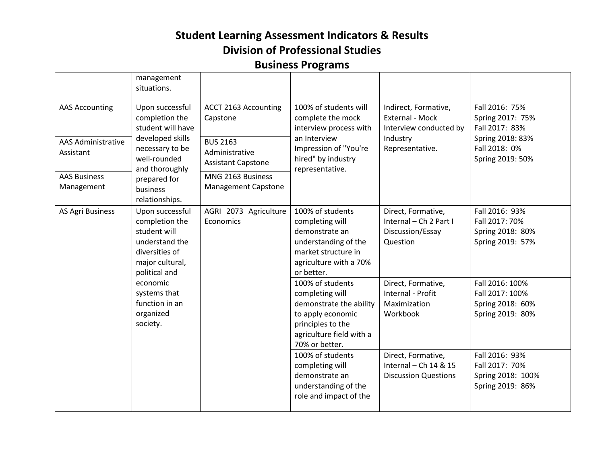|                                                                                                      | management<br>situations.                                                                                                                                                     |                                                                                                                                                       |                                                                                                                                                        |                                                                                                  |                                                                                                               |
|------------------------------------------------------------------------------------------------------|-------------------------------------------------------------------------------------------------------------------------------------------------------------------------------|-------------------------------------------------------------------------------------------------------------------------------------------------------|--------------------------------------------------------------------------------------------------------------------------------------------------------|--------------------------------------------------------------------------------------------------|---------------------------------------------------------------------------------------------------------------|
| <b>AAS Accounting</b><br><b>AAS Administrative</b><br>Assistant<br><b>AAS Business</b><br>Management | Upon successful<br>completion the<br>student will have<br>developed skills<br>necessary to be<br>well-rounded<br>and thoroughly<br>prepared for<br>business<br>relationships. | ACCT 2163 Accounting<br>Capstone<br><b>BUS 2163</b><br>Administrative<br><b>Assistant Capstone</b><br>MNG 2163 Business<br><b>Management Capstone</b> | 100% of students will<br>complete the mock<br>interview process with<br>an Interview<br>Impression of "You're<br>hired" by industry<br>representative. | Indirect, Formative,<br>External - Mock<br>Interview conducted by<br>Industry<br>Representative. | Fall 2016: 75%<br>Spring 2017: 75%<br>Fall 2017: 83%<br>Spring 2018: 83%<br>Fall 2018: 0%<br>Spring 2019: 50% |
| <b>AS Agri Business</b>                                                                              | Upon successful<br>completion the<br>student will<br>understand the<br>diversities of<br>major cultural,<br>political and                                                     | AGRI 2073 Agriculture<br>Economics                                                                                                                    | 100% of students<br>completing will<br>demonstrate an<br>understanding of the<br>market structure in<br>agriculture with a 70%<br>or better.           | Direct, Formative,<br>Internal - Ch 2 Part I<br>Discussion/Essay<br>Question                     | Fall 2016: 93%<br>Fall 2017: 70%<br>Spring 2018: 80%<br>Spring 2019: 57%                                      |
|                                                                                                      | economic<br>systems that<br>function in an<br>organized<br>society.                                                                                                           |                                                                                                                                                       | 100% of students<br>completing will<br>demonstrate the ability<br>to apply economic<br>principles to the<br>agriculture field with a<br>70% or better. | Direct, Formative,<br>Internal - Profit<br>Maximization<br>Workbook                              | Fall 2016: 100%<br>Fall 2017: 100%<br>Spring 2018: 60%<br>Spring 2019: 80%                                    |
|                                                                                                      |                                                                                                                                                                               |                                                                                                                                                       | 100% of students<br>completing will<br>demonstrate an<br>understanding of the<br>role and impact of the                                                | Direct, Formative,<br>Internal - Ch 14 & 15<br><b>Discussion Questions</b>                       | Fall 2016: 93%<br>Fall 2017: 70%<br>Spring 2018: 100%<br>Spring 2019: 86%                                     |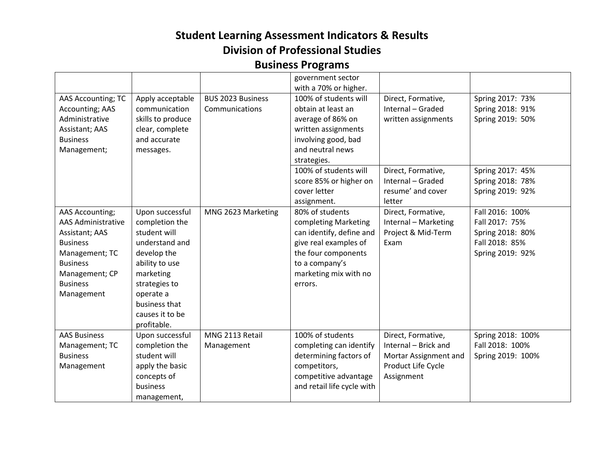|                           |                   |                          | government sector          |                       |                   |
|---------------------------|-------------------|--------------------------|----------------------------|-----------------------|-------------------|
|                           |                   |                          | with a 70% or higher.      |                       |                   |
| AAS Accounting; TC        | Apply acceptable  | <b>BUS 2023 Business</b> | 100% of students will      | Direct, Formative,    | Spring 2017: 73%  |
| <b>Accounting; AAS</b>    | communication     | Communications           | obtain at least an         | Internal - Graded     | Spring 2018: 91%  |
| Administrative            | skills to produce |                          | average of 86% on          | written assignments   | Spring 2019: 50%  |
| Assistant; AAS            | clear, complete   |                          | written assignments        |                       |                   |
| <b>Business</b>           | and accurate      |                          | involving good, bad        |                       |                   |
| Management;               | messages.         |                          | and neutral news           |                       |                   |
|                           |                   |                          | strategies.                |                       |                   |
|                           |                   |                          | 100% of students will      | Direct, Formative,    | Spring 2017: 45%  |
|                           |                   |                          | score 85% or higher on     | Internal - Graded     | Spring 2018: 78%  |
|                           |                   |                          | cover letter               | resume' and cover     | Spring 2019: 92%  |
|                           |                   |                          | assignment.                | letter                |                   |
| <b>AAS Accounting;</b>    | Upon successful   | MNG 2623 Marketing       | 80% of students            | Direct, Formative,    | Fall 2016: 100%   |
| <b>AAS Administrative</b> | completion the    |                          | completing Marketing       | Internal - Marketing  | Fall 2017: 75%    |
| Assistant; AAS            | student will      |                          | can identify, define and   | Project & Mid-Term    | Spring 2018: 80%  |
| <b>Business</b>           | understand and    |                          | give real examples of      | Exam                  | Fall 2018: 85%    |
| Management; TC            | develop the       |                          | the four components        |                       | Spring 2019: 92%  |
| <b>Business</b>           | ability to use    |                          | to a company's             |                       |                   |
| Management; CP            | marketing         |                          | marketing mix with no      |                       |                   |
| <b>Business</b>           | strategies to     |                          | errors.                    |                       |                   |
| Management                | operate a         |                          |                            |                       |                   |
|                           | business that     |                          |                            |                       |                   |
|                           | causes it to be   |                          |                            |                       |                   |
|                           | profitable.       |                          |                            |                       |                   |
| <b>AAS Business</b>       | Upon successful   | MNG 2113 Retail          | 100% of students           | Direct, Formative,    | Spring 2018: 100% |
| Management; TC            | completion the    | Management               | completing can identify    | Internal - Brick and  | Fall 2018: 100%   |
| <b>Business</b>           | student will      |                          | determining factors of     | Mortar Assignment and | Spring 2019: 100% |
| Management                | apply the basic   |                          | competitors,               | Product Life Cycle    |                   |
|                           | concepts of       |                          | competitive advantage      | Assignment            |                   |
|                           | business          |                          | and retail life cycle with |                       |                   |
|                           | management,       |                          |                            |                       |                   |